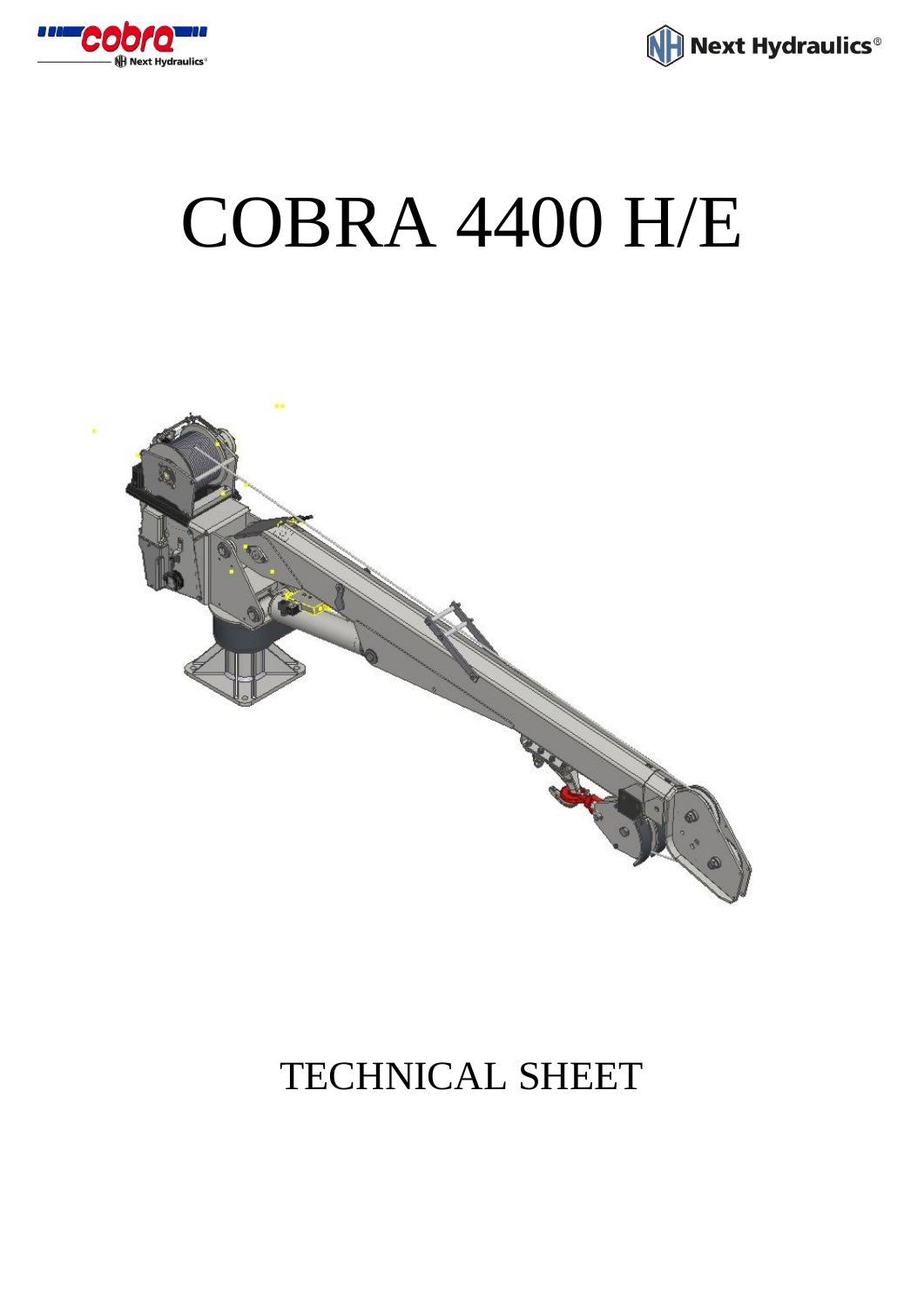

Next Hydraulics<sup>®</sup>

## COBRA 4400 H/E



## TECHNICAL SHEET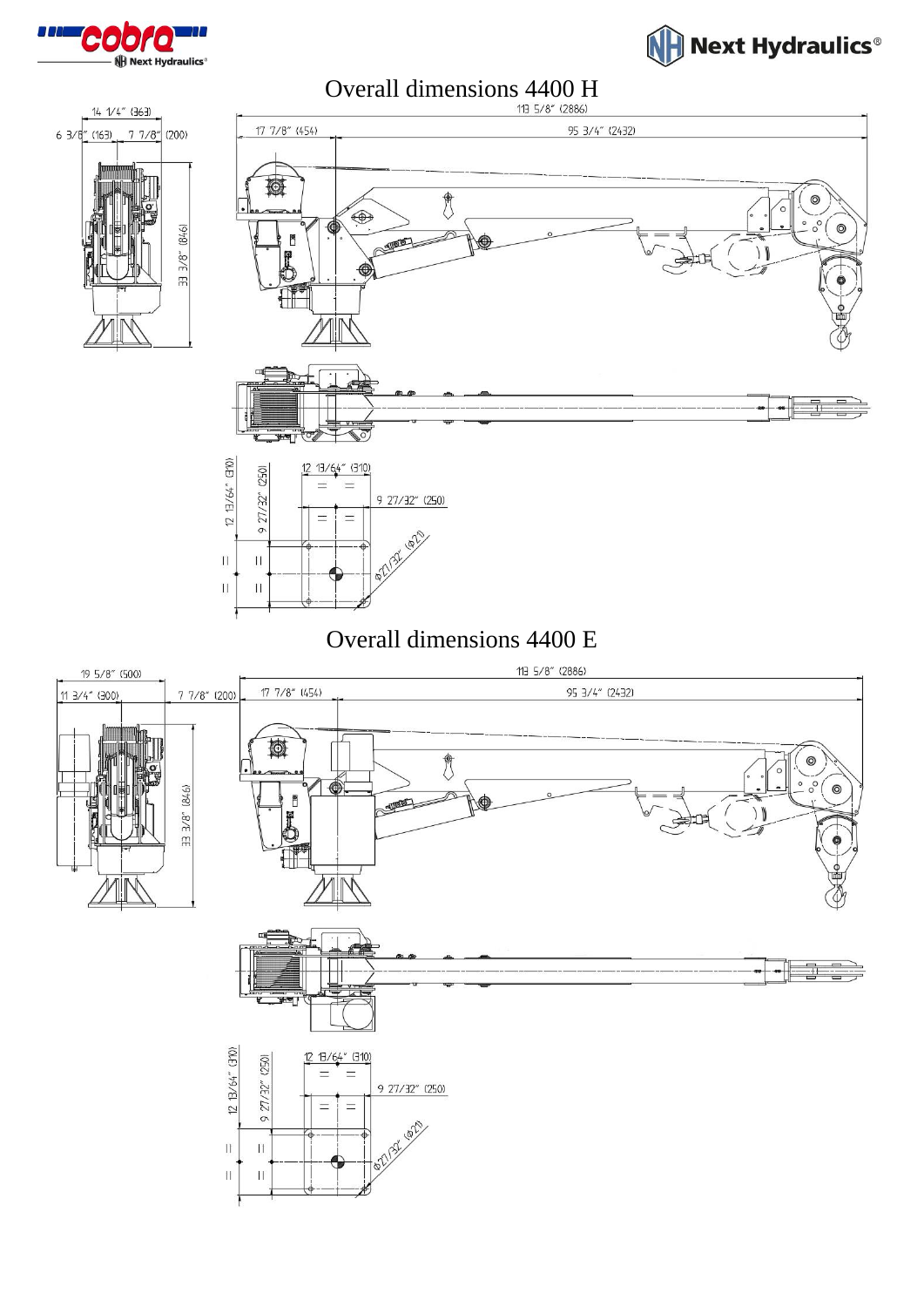



Overall dimensions 4400 H





## Overall dimensions 4400 E

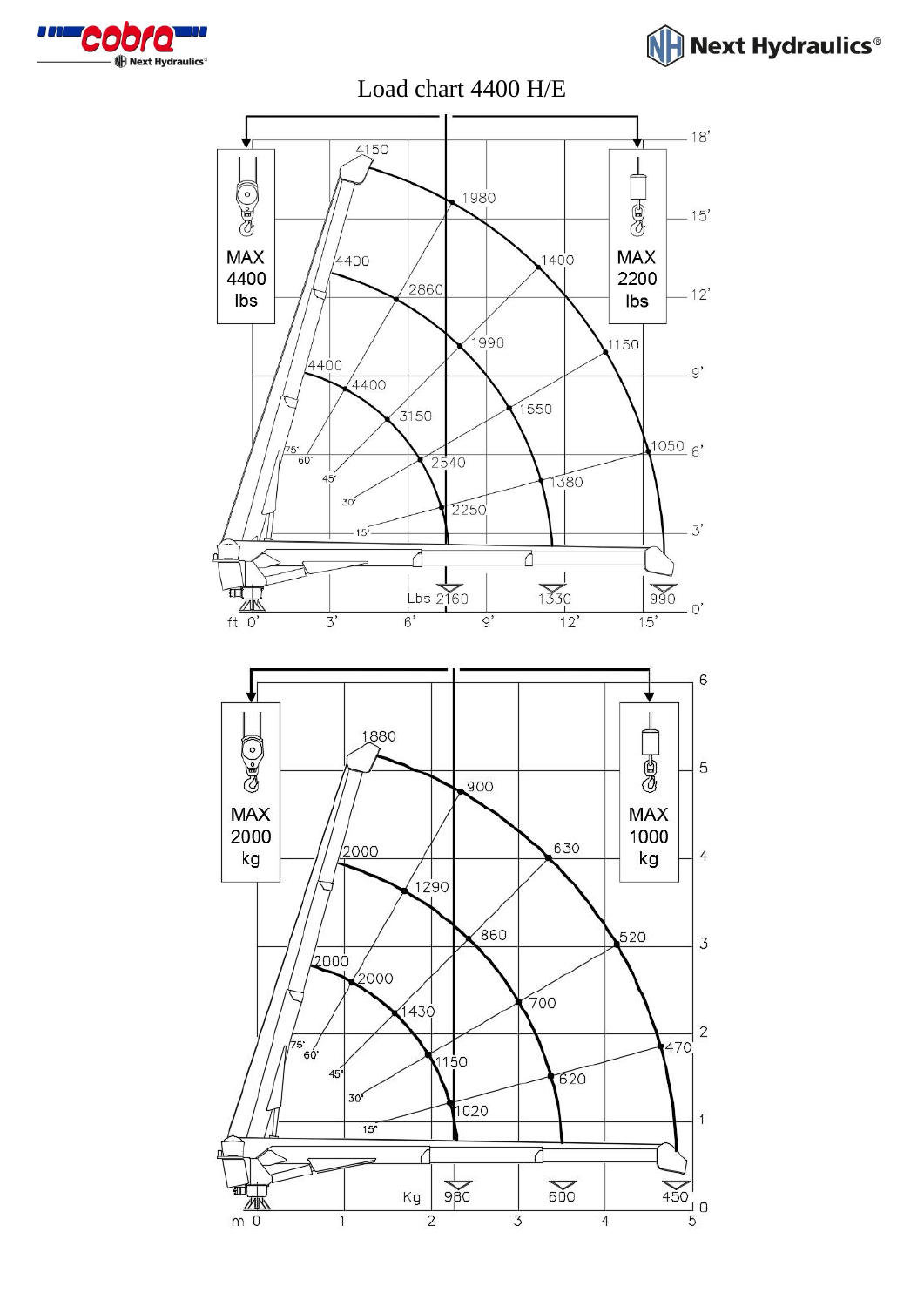



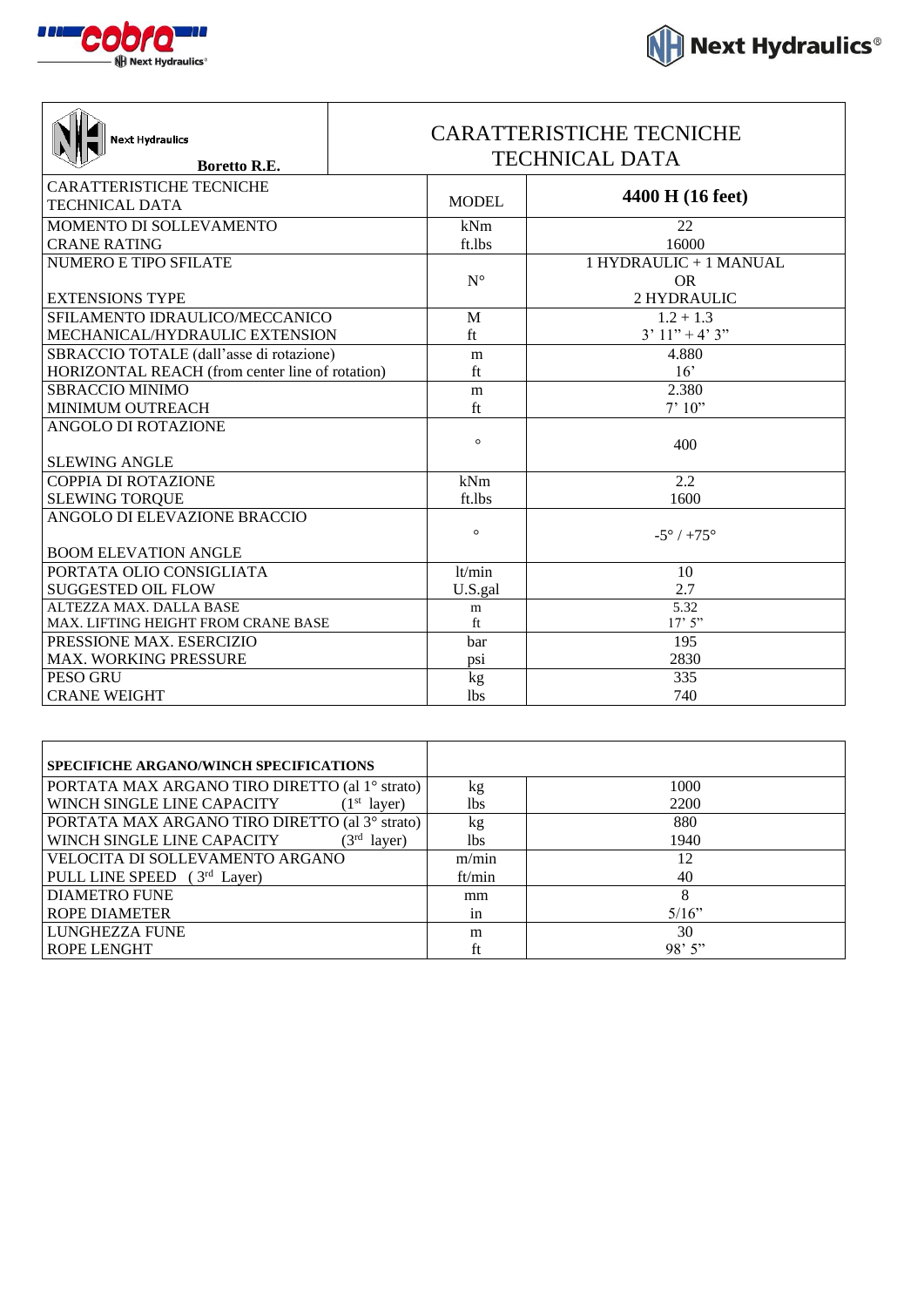

┑

| $\P$ Next Hydraulics $^\circ$ |  |  |
|-------------------------------|--|--|

| <b>Next Hydraulics</b><br><b>Boretto R.E.</b>   | <b>CARATTERISTICHE TECNICHE</b><br><b>TECHNICAL DATA</b> |              |                              |
|-------------------------------------------------|----------------------------------------------------------|--------------|------------------------------|
| <b>CARATTERISTICHE TECNICHE</b>                 |                                                          | <b>MODEL</b> | 4400 H (16 feet)             |
| <b>TECHNICAL DATA</b>                           |                                                          |              |                              |
| MOMENTO DI SOLLEVAMENTO                         |                                                          | kNm          | 22                           |
| <b>CRANE RATING</b>                             |                                                          | ft.lbs       | 16000                        |
| <b>NUMERO E TIPO SFILATE</b>                    |                                                          |              | 1 HYDRAULIC + 1 MANUAL       |
|                                                 |                                                          | $N^{\circ}$  | <b>OR</b>                    |
| <b>EXTENSIONS TYPE</b>                          |                                                          |              | 2 HYDRAULIC                  |
| SFILAMENTO IDRAULICO/MECCANICO                  |                                                          | M            | $1.2 + 1.3$                  |
| MECHANICAL/HYDRAULIC EXTENSION                  |                                                          | ft           | $3'11'' + 4'3''$             |
| SBRACCIO TOTALE (dall'asse di rotazione)        |                                                          | m            | 4.880                        |
| HORIZONTAL REACH (from center line of rotation) |                                                          | ft           | 16'                          |
| <b>SBRACCIO MINIMO</b>                          |                                                          | m            | 2.380                        |
| MINIMUM OUTREACH                                |                                                          | ft           | 7'10''                       |
| ANGOLO DI ROTAZIONE                             |                                                          |              |                              |
|                                                 |                                                          | $\circ$      | 400                          |
| <b>SLEWING ANGLE</b>                            |                                                          |              |                              |
| <b>COPPIA DI ROTAZIONE</b>                      |                                                          | kNm          | 2.2                          |
| <b>SLEWING TORQUE</b>                           |                                                          | ft.lbs       | 1600                         |
| ANGOLO DI ELEVAZIONE BRACCIO                    |                                                          |              |                              |
|                                                 |                                                          | $\circ$      | $-5^{\circ}$ / $+75^{\circ}$ |
| <b>BOOM ELEVATION ANGLE</b>                     |                                                          |              |                              |
| PORTATA OLIO CONSIGLIATA                        |                                                          | lt/min       | 10                           |
| <b>SUGGESTED OIL FLOW</b>                       |                                                          | U.S.gal      | 2.7                          |
| ALTEZZA MAX. DALLA BASE                         |                                                          | m            | 5.32                         |
| <b>MAX. LIFTING HEIGHT FROM CRANE BASE</b>      |                                                          | ft           | 17'5''                       |
| PRESSIONE MAX. ESERCIZIO                        |                                                          | bar          | 195                          |
| <b>MAX. WORKING PRESSURE</b>                    |                                                          | psi          | 2830                         |
| PESO GRU                                        |                                                          | kg           | 335                          |
| <b>CRANE WEIGHT</b>                             |                                                          | <b>lbs</b>   | 740                          |

Τ

| <b>SPECIFICHE ARGANO/WINCH SPECIFICATIONS</b>         |        |          |
|-------------------------------------------------------|--------|----------|
| PORTATA MAX ARGANO TIRO DIRETTO (al 1º strato)        | kg     | 1000     |
| WINCH SINGLE LINE CAPACITY<br>(1 <sup>st</sup> layer) | lbs    | 2200     |
| PORTATA MAX ARGANO TIRO DIRETTO (al 3º strato)        | kg     | 880      |
| WINCH SINGLE LINE CAPACITY<br>$(3^{rd}$<br>layer)     | lbs    | 1940     |
| VELOCITA DI SOLLEVAMENTO ARGANO                       | m/min  | 12       |
| PULL LINE SPEED $(3rd Layer)$                         | ft/min | 40       |
| <b>DIAMETRO FUNE</b>                                  | mm     | 8        |
| <b>ROPE DIAMETER</b>                                  | in     | $5/16$ " |
| LUNGHEZZA FUNE                                        | m      | 30       |
| <b>ROPE LENGHT</b>                                    | ft     | 98'5''   |